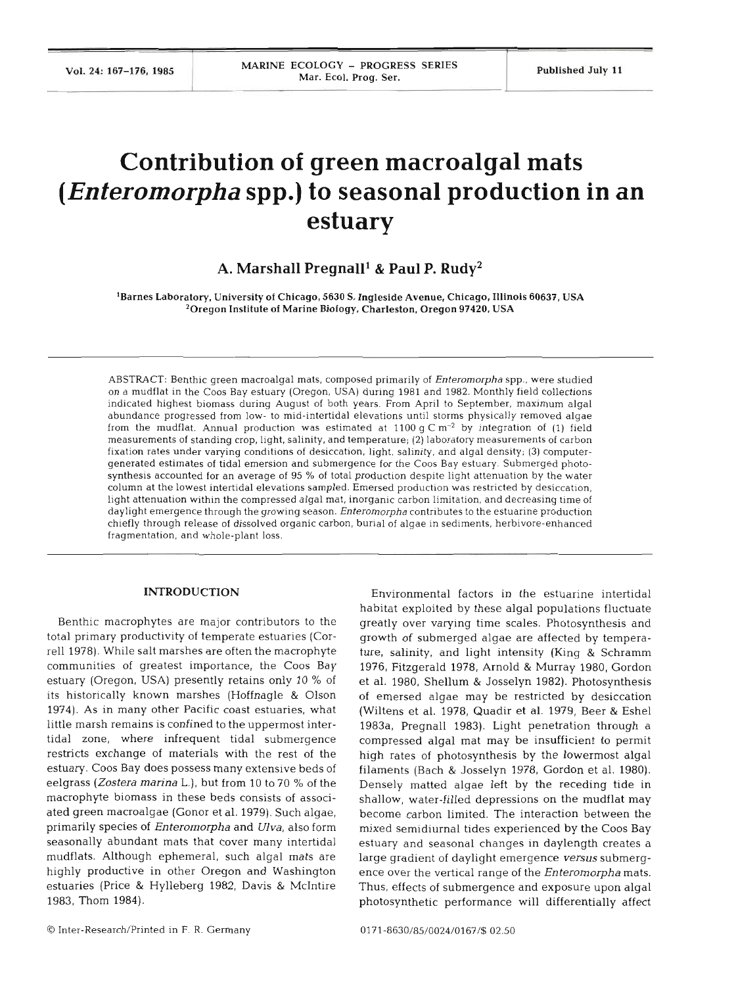# **Contribution of green macroalgal mats**  *(Enteromorpha* **spp.) to seasonal production in an estuary**

**A. Marshal1 Pregnalll** & **Paul P. Rudy2** 

'Barnes Laboratory, University **of** Chicago, **5630** S. Ingleside Avenue, Chicago, Illinois **60637,** USA 'Oregon Institute **of** Marine Biology. Charleston. Oregon **97420.** USA

ABSTRACT: Benthic green macroalgal mats, composed primarily of *Enteromorpha* spp., were studied on a mudflat in the Coos Bay estuary (Oregon. USA) during 1981 and 1982. Monthly field collections indicated highest biomass during August of both years. From April to September, maximum algal abundance progressed from low- to mid-intertidal elevations until storms physically removed algae from the mudflat. Annual production was estimated at 1100 g  $\text{C m}^{-2}$  by integration of (1) field measurements of standing crop, light, salinity, and temperature; (2) laboratory measurements of carbon fixation rates under varying conditions of desiccation, light, salinity, and algal density; (3) computergenerated estimates of tidal emersion and submergence for the Coos Bay estuary. Submerged photosynthesis accounted for an average of 95 % of total production despite light attenuation by the water column at the lowest intertidal elevations sampled. Emersed production was restricted by desiccation, light attenuation within the compressed algal mat, inorganic carbon limitation, and decreasing time of daylight emergence through the growing season. *Enteromorpha* contributes to the estuarine production chiefly through release of dissolved organic carbon, burial of algae in sedlments, herbivore-enhanced fragmentation, and whole-plant loss.

# **INTRODUCTION**

Benthic macrophytes are major contributors to the total primary productivity of temperate estuaries (Corre11 1978). While salt marshes are often the macrophyte communities of greatest importance, the Coos Bay estuary (Oregon, USA) presently retains only 10 % of its historically known marshes (Hoffnagle & Olson 1974). As in many other Pacific coast estuaries, what little marsh remains is confined to the uppermost intertidal zone, where infrequent tidal submergence restricts exchange of materials with the rest of the estuary. Coos Bay does possess many extensive beds of eelgrass *(Zostera marina* L.), but from 10 to 70 % of the macrophyte biomass in these beds consists of associated green macroalgae (Gonor et al. 1979). Such algae, primarily species of *Enteromorpha* and *Ulva,* also form seasonally abundant mats that cover many intertidal mudflats. Although ephemeral, such algal mats are highly productive in other Oregon and Washington estuaries (Price & Hylleberg 1982. Davis & McIntire 1983, Thom 1984).

Environmental factors in the estuarine intertida habitat exploited by these algal populations fluctuate greatly over varying time scales. Photosynthesis and growth of submerged algae are affected by temperature, salinity, and light intensity (King & Schramm 1976, Fitzgerald 1978, Arnold & Murray 1980, Gordon et al. 1980, Shellum & Josselyn 1982). Photosynthesis of emersed algae may be restricted by desiccation (Wiltens et al. 1978, Quadir et al. 1979, Beer & Eshel 1983a, Pregnall 1983). Light penetration through a compressed algal mat may be insufficient to permit high rates of photosynthesis by the lowermost algal filaments (Bach & Josselyn 1978, Gordon et al. 1980). Densely matted algae left by the receding tide in shallow, water-filled depressions on the mudflat may become carbon limited. The interaction between the mixed semidiurnal tides experienced by the Coos Bay estuary and seasonal changes in daylength creates a large gradient of daylight emergence **versus** submergence over the vertical range of the *Enteromorpha* mats. Thus, effects of submergence and exposure upon algal photosynthetic performance will differentially affect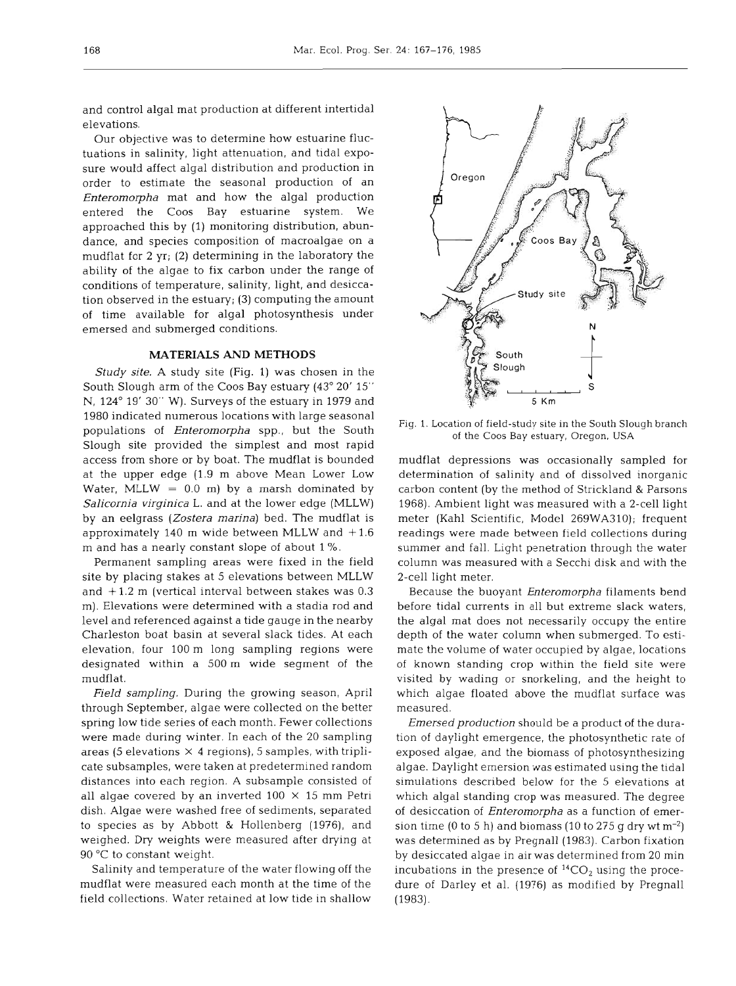and control algal mat production at different intertidal elevations.

Our objective was to determine how estuarine fluctuations in salinity, light attenuation, and tidal exposure would affect algal distribution and production in order to estimate the seasonal production of an Enteromorpha mat and how the algal production entered the Coos Bay estuarine system. We approached this by (1) monitoring distribution, abundance, and species composition of macroalgae on a mudflat for 2 yr; (2) determining in the laboratory the ability of the algae to fix carbon under the range of conditions of temperature, salinity, light, and desiccation observed in the estuary; (3) computing the amount of time available for algal photosynthesis under emersed and submerged conditions.

# **MATERIALS AND METHODS**

Study site. A study site (Fig. 1) was chosen in the South Slough arm of the Coos Bay estuary (43' 20' 15" N, 124" 19' 30" W). Surveys of the estuary in 1979 and 1980 indicated numerous locations with large seasonal populations of *Enteromorpha* spp., but the South Slough site provided the simplest and most rapid access from shore or by boat. The mudflat is bounded at the upper edge (1.9 m above Mean Lower Low Water, MLLW  $= 0.0$  m) by a marsh dominated by Salicornia virginica L. and at the lower edge (MLLW) by an eelgrass (Zostera marina) bed. The mudflat is approximately 140 m wide between MLLW and  $+1.6$ m and has a nearly constant slope of about 1 %.

Permanent sampling areas were fixed in the field site by placing stakes at 5 elevations between MLLW and  $+1.2$  m (vertical interval between stakes was 0.3 m). Elevations were determined with a stadia rod and level and referenced against a tide gauge in the nearby Charleston boat basin at several slack tides. At each elevation, four 100 m long sampling regions were designated within a 500 m wide segment of the mudflat.

Field sampling. During the growing season, April through September, algae were collected on the better spring low tide series of each month. Fewer collections were made during winter. In each of the 20 sampling areas (5 elevations  $\times$  4 regions), 5 samples, with triplicate subsamples, were taken at predetermined random distances into each region. A subsample consisted of all algae covered by an inverted  $100 \times 15$  mm Petri dish. Algae were washed free of sediments, separated to species as by Abbott & Hollenberg (1976), and weighed. Dry weights were measured after drying at 90 "C to constant weight.

Salinity and temperature of the water flowing off the mudflat were measured each month at the time of the field collections. Water retained at low tide in shallow



Fig. 1. Location of field-study site in the South Slough branch of the Coos Bay estuary, Oregon, USA

mudflat depressions was occasionally sampled for determination of salinity and of dissolved inorganic carbon content (by the method of Strickland & Parsons 1968). Ambient light was measured with a 2-cell light meter (Kahl Scientific, Model 269WA310); frequent readings were made between field collections during summer and fall. Light penetration through the water column was measured with a Secchi disk and with the 2-cell light meter.

Because the buoyant Enteromorpha filaments bend before tidal currents in all but extreme slack waters, the algal mat does not necessarily occupy the entire depth of the water column when submerged. To estimate the volume of water occupied by algae, locations of known standing crop within the field site were visited by wading or snorkeling, and the height to which algae floated above the mudflat surface was measured.

Emersed production should be a product of the duration of daylight emergence, the photosynthetic rate of exposed algae, and the biomass of photosynthesizing algae. Daylight emersion was estimated using the tidal simulations described below for the 5 elevations at which algal standing crop was measured. The degree of desiccation of Enteromorpha as a function of emersion time (0 to 5 h) and biomass (10 to 275 g dry wt  $m^{-2}$ ) was determined as by Pregnall (1983). Carbon fixation by desiccated algae in air was determined from 20 min incubations in the presence of  ${}^{14}CO_2$  using the procedure of Darley et al. (1976) as modified by Pregnall (1983).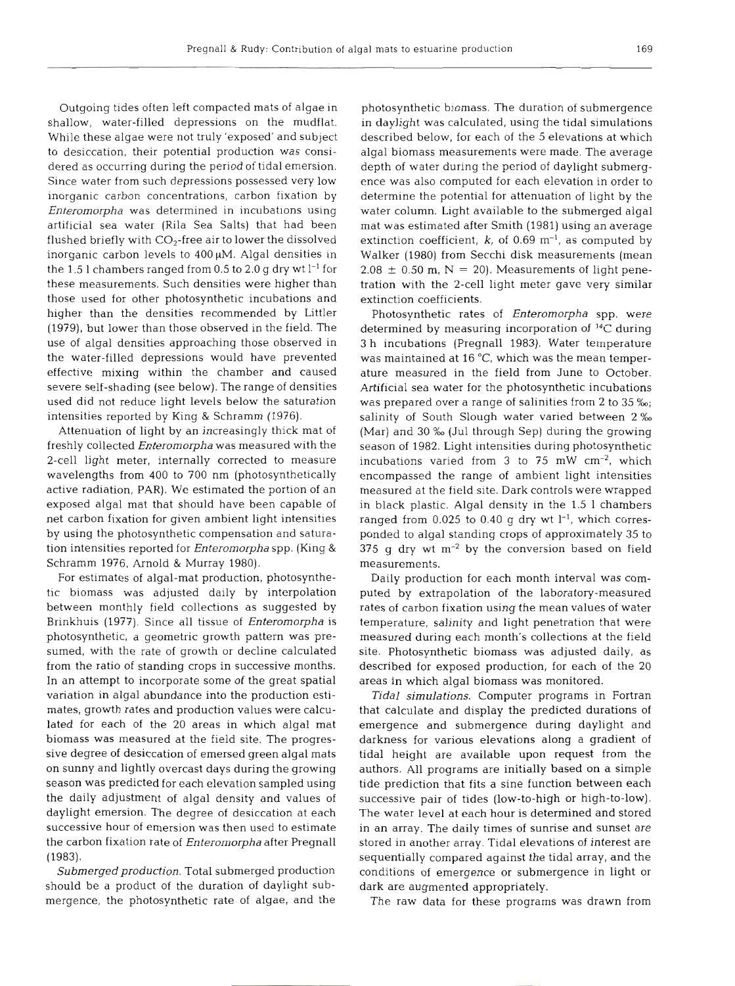Outgoing tides often left compacted mats of algae in shallow, water-filled depressions on the mudflat. While these algae were not truly 'exposed' and subject to desiccation, their potential production was considered as occurring during the period of tidal emersion. Since water from such depressions possessed very low inorganic carbon concentrations, carbon fixation by *Enteromorpha* was determined in incubations using artificial sea water (Rila Sea Salts) that had been flushed briefly with  $CO<sub>2</sub>$ -free air to lower the dissolved inorganic carbon levels to  $400 \mu M$ . Algal densities in the 1.5 l chambers ranged from  $0.5$  to  $2.0$  g dry wt  $l<sup>-1</sup>$  for these measurements. Such densities were higher than those used for other photosynthetic incubations and higher than the densities recommended by Littler (1979), but lower than those observed in the field. The use of algal densities approaching those observed in the water-filled depressions would have prevented effective mixing within the chamber and caused severe self-shading (see below). The range of densities used did not reduce light levels below the saturation intensities reported by King & Schramm (1976).

Attenuation of light by an increasingly thick mat of freshly collected *Enteromorpha* was measured with the 2-cell light meter, internally corrected to measure wavelengths from 400 to 700 nm (photosynthetically active radiation, PAR). We estimated the portion of an exposed algal mat that should have been capable of net carbon fixation for given ambient light intensities by using the photosynthetic compensation and saturation intensities reported for *Enteromorpha* spp. (King & Schramm 1976, Arnold & Murray 1980).

For estimates of algal-mat production, photosynthetic biomass was adjusted daily by interpolation between monthly field collections as suggested by Brinkhuis (1977). Since all tissue of *Enteromorpha* is photosynthetic, a geometric growth pattern was presumed, with the rate of growth or decline calculated from the ratio of standing crops in successive months. In an attempt to incorporate some of the great spatial variation in algal abundance into the production estimates, growth rates and production values were calculated for each of the 20 areas in which algal mat biomass was measured at the field site. The progressive degree of desiccation of emersed green algal mats on sunny and lightly overcast days during the growing season was predicted for each elevation sampled using the daily adjustment of algal density and values of daylight emersion. The degree of desiccation at each successive hour of emersion was then used to estim the carbon fixation rate of *Enteromorpha* after Pregnall (1983).

*Submerged production.* Total submerged production should be a product of the duration of daylight submergence, the photosynthetic rate of algae, and the

photosynthetic biomass. The duration of submergence in daylight was calculated, using the tidal simulations described below, for each of the 5 elevations at which algal biomass measurements were made. The average depth of water during the period of daylight submergence was also computed for each elevation in order to determine the potential for attenuation of light by the water column. Light available to the submerged algal mat was estimated after Smith (1981) using an average extinction coefficient,  $k$ , of 0.69 m<sup>-1</sup>, as computed by Walker (1980) from Secchi disk measurements (mean  $2.08 \pm 0.50$  m, N = 20). Measurements of light penetration with the 2-cell light meter gave very similar extinction coefficie

Photosynthetic rates of *Enteromorpha* spp. were determined by measuring incorporation of  $^{14}C$  during 3 h incubations (Pregnall 1983). Water temperature was maintained at 16  $^{\circ}$ C, which was the mean temperature measured in the field from June to October. Artificial sea water for the photosynthetic incubations was prepared over a range of salinities from 2 to 35  $\%$ <sub>o</sub>; salinity of South Slough water varied between 2 **%o**  (Mar) and 30 % (Jul through Sep) during the growing season of 1982. Light intensities during photosynthetic incubations varied from  $3$  to  $75$  mW cm<sup>-2</sup>, which encompassed the range of ambient light intensities measured at the field site. Dark controls were wrapped in black plastic. Algal density in the 1.5 1 chambers ranged from 0.025 to 0.40 g dry wt  $l^{-1}$ , which corresponded to algal standing crops of approximately 35 to 375 g dry wt  $m^{-2}$  by the conversion based on field measureme

Daily production for each month interval was computed by extrapolation of the laboratory-measured rates of carbon fixation using the mean values of water temperature, salinity and light penetration that were measured during each month's collections at the field site. Photosynthetic biomass was adjusted daily, as described for exposed production, for each of the 20 areas in which algal biomass was monitored.

*Tidal simulations.* Computer programs in Fortran that calculate and display the predicted durations of emergence and submergence during daylight and darkness for various elevations along a gradient of tidal height are available upon request from the authors. All programs are initially based on a simple tide prediction that fits a sine function between each successive pair of tides (low-to-high or high-to-low). The water level at each hour is determined and sto in an array. The daily times of sunrise and sunset are stored in another array. Tidal elevations of interest are sequentially compared against the tidal array, and the conditions of emergence or submergence in light or dark are augmented appropriately.

The raw data for these programs was drawn from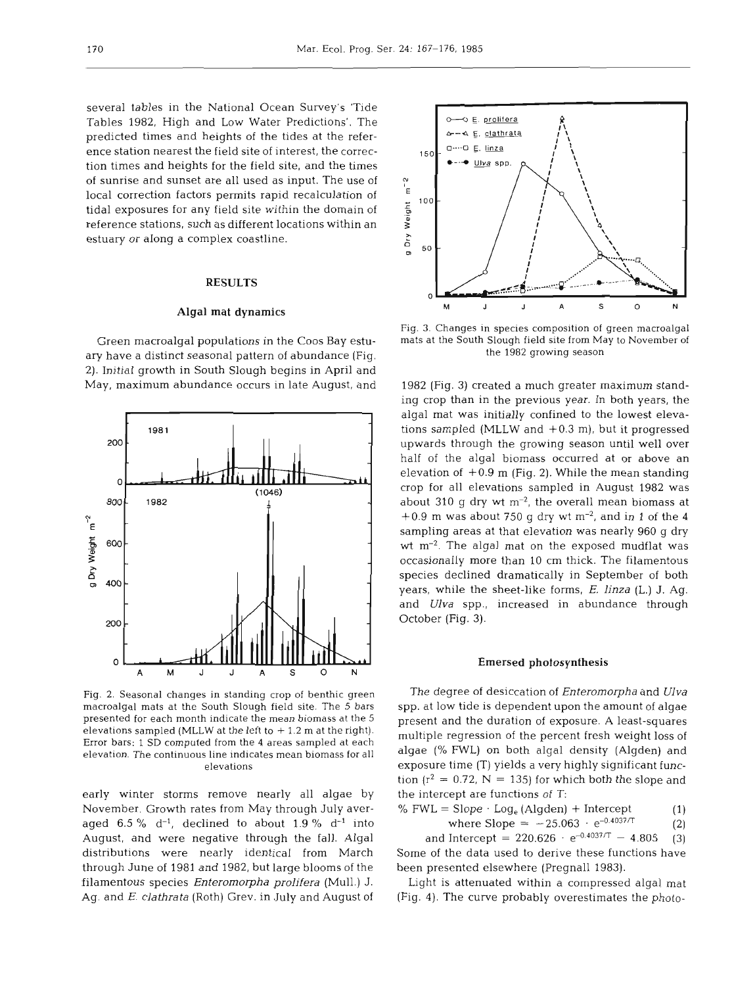several tables in the National Ocean Survey's 'Tide Tables 1982, High and Low Water Predictions'. The predicted times and heights of the tides at the reference station nearest the field site of interest, the correction times and heights for the field site, and the times of sunrise and sunset are all used as input. The use of local correction factors permits rapid recalculation of tidal exposures for any field site within the domain of reference stations, such as different locations within an estuary or along a complex coastline.

# **RESULTS**

## **Algal** mat dynamics

Green macroalgal populations in the Coos Bay estuary have a distinct seasonal pattern of abundance (Fig. 2). Initial growth in South Slough begins in April and May, maximum abundance occurs in late August, and



Fig. *2.* Seasonal changes in standing crop of benthic green macroalgal mats at the South Slough field site. The 5 bars presented for each month indicate the mean biomass at the 5 elevations sampled (MLLW at the left to  $+1.2$  m at the right). Error bars: 1 SD computed from the 4 areas sampled at each elevation. The continuous line indicates mean biomass for all elevations

early winter storms remove nearly all algae by November. Growth rates from May through July averaged  $6.5\%$  d<sup>-1</sup>, declined to about  $1.9\%$  d<sup>-1</sup> into August, and were negative through the fall. Algal distributions were nearly identical from March through June of 1981 and 1982, but large blooms of the filamentous species *Enteromorpha prolifera* (Mull.) J. Ag. and E. *clathrata* (Roth) Grev, in July and August of



Fig. **3.** Changes in species composition of green macroalgal mats at the South Slough field site from May to November of the 1982 growing season

1982 (Fig. 3) created a much greater maximum standing crop than in the previous year. In both years, the algal mat was initially confined to the lowest elevations sampled (MLLW and  $+0.3$  m), but it progressed upwards through the growing season until well over half of the algal biomass occurred at or above an elevation of +0.9 m (Fig. **2).** While the mean standing crop for all elevations sampled in August 1982 was about 310 g dry **wt** m-2, the overall mean biomass at  $+0.9$  m was about 750 g dry wt m<sup>-2</sup>, and in 1 of the 4 sampling areas at that elevation was nearly 960 g dry **wt** m-2. The algal mat on the exposed mudflat was occasionally more than 10 cm thick. The filamentous species declined dramatically in September of both years, while the sheet-like forms, E. *linza* (L.) *J.* Ag. and *Ulva* spp., increased in abundance through October (Fig. 3).

# Emersed photosynthesis

The degree of desiccation of *Enteromorpha* and *Ulva*  spp. at low tide is dependent upon the amount of algae present and the duration of exposure. **A** least-squares multiple regression of the percent fresh weight loss of algae (% FWL) on both algal density (Algden) and exposure time (T) yields a very highly significant function ( $r^2 = 0.72$ , N = 135) for which both the slope and the intercept are functions of T:

%  $FWL = Slope \cdot Log_e (Algden) + Intercept$  (1)

where Slope =  $-25.063 \cdot e^{-0.4037/T}$  (2)

and Intercept =  $220.626 \cdot e^{-0.4037/T} - 4.805$  (3) Some of the data used to derive these functions have been presented elsewhere (Pregnall 1983).

Light is attenuated within a compressed algal mat (Fig. 4). The curve probably overestimates the photo-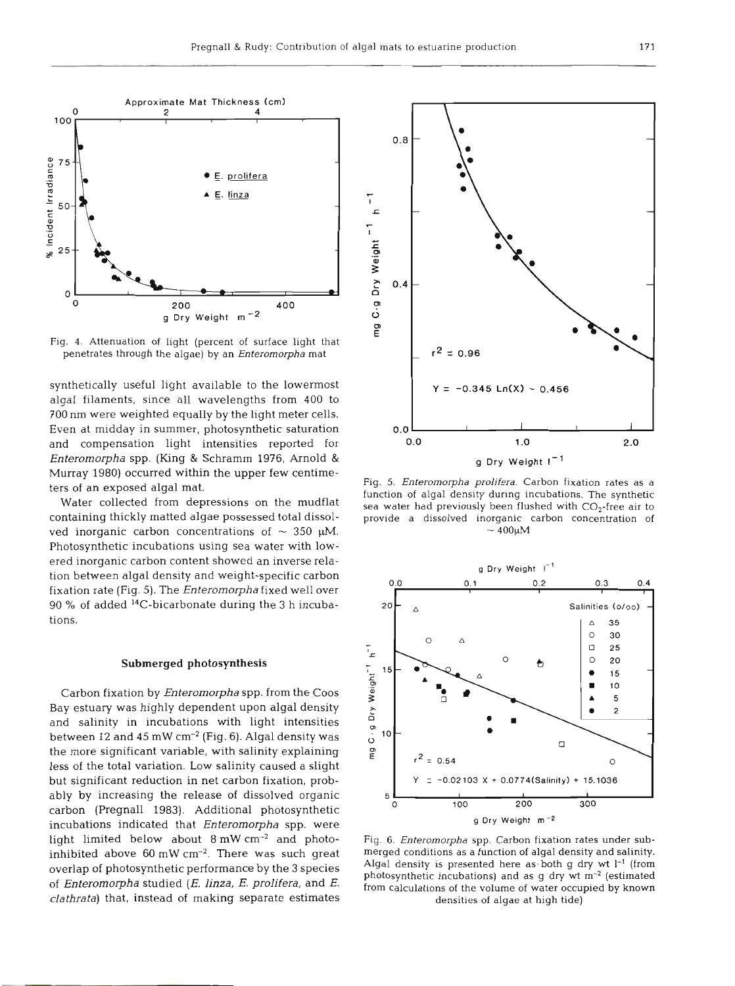

Fig. 4. Attenuation of light (percent of surface light that penetrates through the algae) by an *Enterornorpha* mat

synthetically useful light available to the lowermost algal filaments, since all wavelengths from 400 to 700 nm were weighted equally by the light meter cells. Even at midday in summer, photosynthetic saturation and compensation light intensities reported for *Enteromorpha* spp. (King & Schramm 1976, Arnold & Murray 1980) occurred within the upper few centimeters of an exposed algal mat.

Water collected from depressions on the mudflat containing thickly matted algae possessed total dissolved inorganic carbon concentrations of  $\sim$  350  $\mu$ M. Photosynthetic incubations using sea water with lowered inorganic carbon content showed an inverse relation between algal density and weight-specific carbon fixation rate (Fig. 5). The *Enteromorpha* fixed well over 90 % of added 14C-bicarbonate during the **3** h incubations.

#### **Submerged** photosynthesis

Carbon fixation by *Enteromorpha* spp. from the Coos Bay estuary was highly dependent upon algal density and salinity in incubations with light intensities between 12 and 45 mW  $cm^{-2}$  (Fig. 6). Algal density was the more significant variable, with salinity explaining less of the total variation. Low salinity caused a slight but significant reduction in net carbon fixation, probably by increasing the release of dissolved organic carbon (Pregnall 1983). Additional photosynthetic incubations indicated that *Enteromorpha* spp, were light limited below about 8 mW cm-2 and photoinhibited above  $60 \text{ mW cm}^{-2}$ . There was such great overlap of photosynthetic performance by the **3** species of *Enteromo~ha* studied (E. *linza,* E. *prolifera,* and *E. clathrata)* that, instead of making separate estimates



Fig. 5. *Enterornorpha* **prolifera.** Carbon fixation rates as a function of algal density during incubations. The synthetic sea water had previously been flushed with  $CO<sub>2</sub>$ -free air to provide a dissolved inorganic carbon concentration of  $\sim 400 \mu M$ 



Fig. 6. *Enterornorpha* spp. Carbon fixation rates under submerged conditions as a function of algal density and salinity. Algal density is presented here as- both g dry **wt 1-I** (from photosynthetic incubations) and as  $g$  dry wt  $m^{-2}$  (estimated from calculations of the volume of water occupied by known densities of algae at high tide)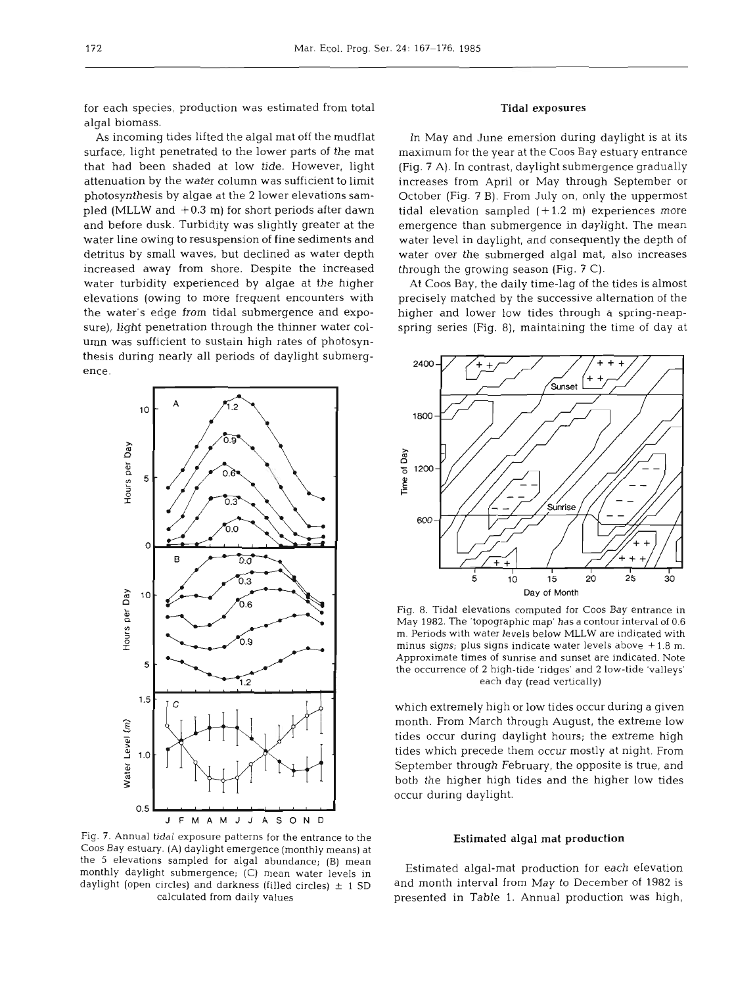for each species, production was estimated from total algal biomass.

As incoming tides lifted the algal mat off the mudflat surface, light penetrated to the lower parts of the mat that had been shaded at low tide. However, light attenuation by the water column was sufficient to limit photosynthesis by algae at the 2 lower elevations sampled (MLLW and  $+0.3$  m) for short periods after dawn and before dusk. Turbidity was slightly greater at the water line owing to resuspension of fine sediments and detritus by small waves, but declined as water depth increased away from shore. Despite the increased water turbidity experienced by algae at the higher elevations (owing to more frequent encounters with the water's edge from tidal submergence and exposure), light penetration through the thinner water column was sufficient to sustain high rates of photosynthesis during nearly all periods of daylight submergence.



# Tidal exposures

In May and June emersion during daylight is at its maximum for the year at the Coos Bay estuary entrance (Fig. **7** A). In contrast, daylight submergence gradually increases from April or May through September or October (Fig. 7 B). From July on, only the uppermost tidal elevation sampled  $(+1.2 \text{ m})$  experiences more emergence than submergence in daylight. The mean water level in daylight, and consequently the depth of water over the submerged algal mat, also increases through the growing season (Fig. **7** C).

At Coos Bay, the daily time-lag of the tides is almost precisely matched by the successive alternation of the higher and lower low tides through a spring-neapspring series (Fig. 8), maintaining the time of day at



Fig. 8. Tidal elevations computed for Coos Bay entrance in May 1982. The 'topographic map' has a contour interval of 0.6 m. Periods with water levels below MLLW are indicated with minus signs; plus signs indicate water levels above + 1.8 m. Approximate times of sunrise and sunset are indicated. Note the occurrence of **2** high-tide 'ridges' and **2** low-tide 'valleys' each day (read vertically)

which extremely high or low tides occur during a given month. From March through August, the extreme low tides occur during daylight hours; the extreme high tides which precede them occur mostly at night. From September through February, the opposite is true, and both the higher high tides and the higher low tides occur during daylight.

# Estimated algal **mat** production

Fig. 7. Annual tidal exposure patterns for the entrance to the Coos Bay estuary. (A) daylight emergence (monthly means) at the 5 elevations sampled for algal abundance; (B) mean monthly daylight submergence; (C) mean water levels in daylight (open circles) and darkness (filled circles)  $\pm$  1 SD calculated from daily values

Estimated algal-mat production for each elevation and month interval from May to December of 1982 is presented in Table 1. Annual production was high,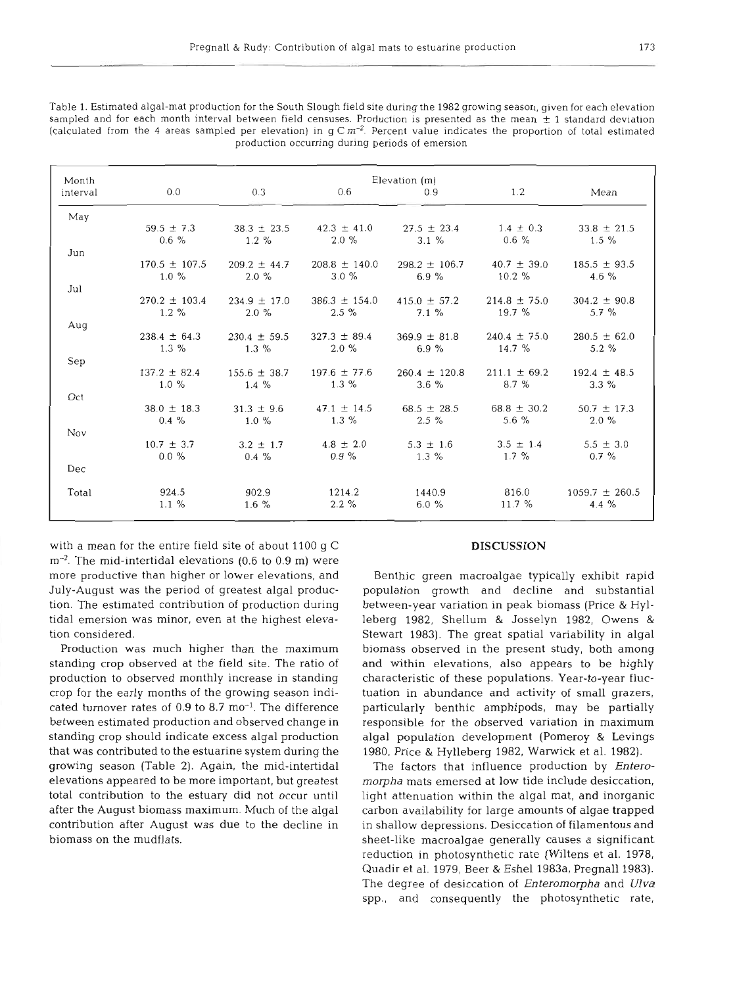Table 1. Estimated algal-mat production for the South Slough field site during the 1982 growing season, given for each elevation sampled and for each month interval between field censuses. Production is presented as the mean  $\pm$  1 standard deviation (calculated from the 4 areas sampled per elevation) in  $q \text{ C m}^{-2}$ . Percent value indicates the proportion of total estimated production occurring during periods of emersion

| Month    | Elevation (m)                 |                              |                               |                               |                              |                              |  |  |  |
|----------|-------------------------------|------------------------------|-------------------------------|-------------------------------|------------------------------|------------------------------|--|--|--|
| interval | 0.0                           | 0.3                          | 0.6                           | 0.9                           | 1.2                          | Mean                         |  |  |  |
| May      |                               |                              |                               |                               |                              |                              |  |  |  |
|          | $59.5 \pm 7.3$                | $38.3 \pm 23.5$              | $42.3 \pm 41.0$               | $27.5 \pm 23.4$               | $1.4 \pm 0.3$                | $33.8 \pm 21.5$              |  |  |  |
| Jun      | $0.6 \%$                      | $1.2 \%$                     | $2.0 \%$                      | $3.1 \%$                      | $0.6 \%$                     | $1.5 \%$                     |  |  |  |
|          | $170.5 \pm 107.5$<br>$1.0 \%$ | $209.2 \pm 44.7$<br>$2.0 \%$ | $208.8 \pm 140.0$<br>$3.0 \%$ | $298.2 \pm 106.7$<br>6.9%     | $40.7 \pm 39.0$<br>$10.2 \%$ | $185.5 \pm 93.5$<br>4.6 $%$  |  |  |  |
| Jul      |                               |                              |                               |                               |                              |                              |  |  |  |
|          | $270.2 \pm 103.4$<br>$1.2 \%$ | $234.9 \pm 17.0$<br>$2.0 \%$ | $386.3 \pm 154.0$<br>$2.5\%$  | $415.0 \pm 57.2$<br>$7.1 \%$  | $214.8 \pm 75.0$<br>19.7%    | $304.2 \pm 90.8$<br>$5.7 \%$ |  |  |  |
| Aug      |                               |                              |                               |                               |                              |                              |  |  |  |
|          | $238.4 \pm 64.3$<br>$1.3\%$   | $230.4 \pm 59.5$<br>$1.3\%$  | $327.3 \pm 89.4$<br>$2.0 \%$  | $369.9 \pm 81.8$<br>6.9 $%$   | $240.4 \pm 75.0$<br>14.7%    | $280.5 \pm 62.0$<br>$5.2 \%$ |  |  |  |
| Sep      |                               |                              |                               |                               |                              |                              |  |  |  |
|          | $137.2 \pm 82.4$<br>$1.0 \%$  | $155.6 \pm 38.7$<br>$1.4\%$  | $197.6 \pm 77.6$<br>$1.3 \%$  | $260.4 \pm 120.8$<br>$3.6 \%$ | $211.1 \pm 69.2$<br>8.7%     | $192.4 \pm 48.5$<br>$3.3\%$  |  |  |  |
| Oct      |                               |                              |                               |                               |                              |                              |  |  |  |
|          | $38.0 \pm 18.3$<br>$0.4 \%$   | $31.3 \pm 9.6$<br>$1.0 \%$   | $47.1 \pm 14.5$<br>$1.3\%$    | $68.5 \pm 28.5$<br>$2.5\%$    | $68.8 \pm 30.2$<br>5.6 $%$   | $50.7 \pm 17.3$<br>$2.0 \%$  |  |  |  |
| Nov      |                               |                              |                               |                               |                              |                              |  |  |  |
|          | $10.7 \pm 3.7$<br>$0.0 \%$    | $3.2 \pm 1.7$<br>$0.4 \%$    | $4.8 \pm 2.0$<br>$0.9 \%$     | $5.3 \pm 1.6$<br>$1.3\%$      | $3.5 \pm 1.4$<br>$1.7\%$     | $5.5 \pm 3.0$<br>$0.7 \%$    |  |  |  |
| Dec      |                               |                              |                               |                               |                              |                              |  |  |  |
| Total    | 924.5                         | 902.9                        | 1214.2                        | 1440.9                        | 816.0                        | $1059.7 \pm 260.5$           |  |  |  |
|          | $1.1 \%$                      | $1.6 \%$                     | $2.2 \%$                      | 6.0%                          | 11.7%                        | 4.4 %                        |  |  |  |

with a mean for the entire field site of about 1100 g C  $m<sup>-2</sup>$ . The mid-intertidal elevations (0.6 to 0.9 m) were more productive than higher or lower elevations, and July-August was the period of greatest algal production. The estimated contribution of production during tidal emersion was minor, even at the highest elevation considered.

Production was much higher than the maximum standing crop observed at the field site. The ratio of production to observed monthly increase in standing crop for the early months of the growing season indicated turnover rates of  $0.9$  to  $8.7 \text{ mo}^{-1}$ . The difference between estimated production and observed change in standing crop should indicate excess algal production that was contributed to the estuarine system during the growing season (Table 2). Again, the mid-intertidal elevations appeared to be more important, but greatest total contribution to the estuary did not occur until after the August biomass maximum. Much of the algal contribution after August was due to the decline in biomass on the mudflats.

## **DISCUSSION**

Benthic green macroalgae typically exhibit rapid population growth and decline and substantial between-year variation in peak biomass (Price & Hylleberg 1982, Shellum & Josselyn 1982, Owens & Stewart 1983). The great spatial variability in algal biomass observed in the present study, both among and within elevations, also appears to be highly characteristic of these populations. Year-to-year fluctuation in abundance and activity of small grazers, particularly benthic amphipods, may be partially responsible for the observed variation in maximum algal population development (Pomeroy & Levings 1980, Price & Hylleberg 1982, Warwick et al. 1982).

The factors that influence production by *Enteromorpha* mats emersed at low tide include desiccation, light attenuation within the algal mat, and inorganic carbon availability for large amounts of algae trapped in shallow depressions. Desiccation of filamentous and sheet-like macroalgae generally causes a significant reduction in photosynthetic rate (Wiltens et al. 1978, Quadir et al. 1979, Beer & Eshel 1983a, Pregnall 1983). The degree of desiccation of *Enteromorpha* and **Ulva**  spp., and consequently the photosynthetic rate,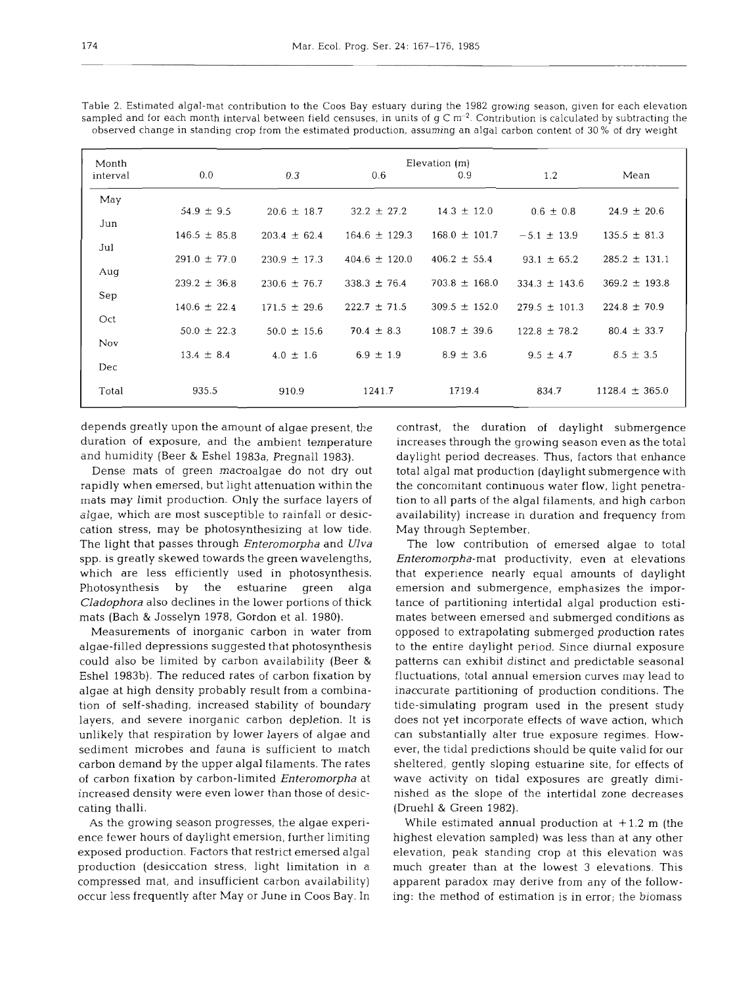| Month    | Elevation (m)    |                  |                   |                   |                   |                    |  |  |
|----------|------------------|------------------|-------------------|-------------------|-------------------|--------------------|--|--|
| interval | 0.0              | 0.3              | 0.6               | 0.9               | 1.2               | Mean               |  |  |
| May      |                  |                  |                   |                   |                   |                    |  |  |
| Jun      | $54.9 \pm 9.5$   | $20.6 \pm 18.7$  | $32.2 \pm 27.2$   | $14.3 \pm 12.0$   | $0.6 \pm 0.8$     | $24.9 \pm 20.6$    |  |  |
|          | $146.5 \pm 85.8$ | $203.4 \pm 62.4$ | $164.6 \pm 129.3$ | $168.0 \pm 101.7$ | $-5.1 \pm 13.9$   | $135.5 \pm 81.3$   |  |  |
| Jul      | $291.0 \pm 77.0$ | $230.9 \pm 17.3$ | $404.6 \pm 120.0$ | $406.2 \pm 55.4$  | $93.1 \pm 65.2$   | $285.2 \pm 131.1$  |  |  |
| Aug      |                  |                  |                   |                   |                   |                    |  |  |
| Sep      | $239.2 \pm 36.8$ | $230.6 \pm 76.7$ | $338.3 \pm 76.4$  | $703.8 \pm 168.0$ | $334.3 \pm 143.6$ | $369.2 \pm 193.8$  |  |  |
|          | $140.6 \pm 22.4$ | $171.5 \pm 29.6$ | $222.7 \pm 71.5$  | $309.5 \pm 152.0$ | $279.5 \pm 101.3$ | $224.8 \pm 70.9$   |  |  |
| Oct      | $50.0 \pm 22.3$  | $50.0 \pm 15.6$  | $70.4 \pm 8.3$    | $108.7 \pm 39.6$  | $122.8 \pm 78.2$  | $80.4 \pm 33.7$    |  |  |
| Nov      |                  |                  |                   |                   |                   |                    |  |  |
| Dec      | $13.4 \pm 8.4$   | $4.0 \pm 1.6$    | $6.9 \pm 1.9$     | $8.9 \pm 3.6$     | $9.5 \pm 4.7$     | $8.5 \pm 3.5$      |  |  |
|          |                  |                  |                   |                   |                   |                    |  |  |
| Total    | 935.5            | 910.9            | 1241.7            | 1719.4            | 834.7             | $1128.4 \pm 365.0$ |  |  |

Table 2. Estimated algal-mat contribution to the Coos Bay estuary during the 1982 growing season, given for each elevation sampled and for each month interval between field censuses, in units of  $g C m<sup>-2</sup>$ . Contribution is calculated by subtracting the observed change in standing crop from the estimated production, assuming an algal carbon content of 30 % of dry weight

depends greatly upon the amount of algae present, the duration of exposure, and the ambient temperature and humidity (Beer & Eshel 1983a, Pregnall 1983).

Dense mats of green macroalgae do not dry out rapidly when emersed, but light attenuation within the mats may limit production. Only the surface layers of algae, which are most susceptible to rainfall or desiccation stress, may be photosynthesizing at low tide. The light that passes through Enteromopha and **Ulva**  spp. is greatly skewed towards the green wavelengths, which are less efficiently used in photosynthesis. Photosynthesis by the estuarine green alga Cladophora also declines in the lower portions of thick mats (Bach & Josselyn 1978, Gordon et al. 1980).

Measurements of inorganic carbon in water from algae-filled depressions suggested that photosynthesis could also be limited by carbon availability (Beer & Eshel 1983b). The reduced rates of carbon fixation by algae at high density probably result from a combination of self-shading, increased stability of boundary layers, and severe inorganic carbon depletion. It is unlikely that respiration by lower layers of algae and sediment microbes and fauna is sufficient to match carbon demand by the upper algal filaments. The rates of carbon fixation by carbon-limited Enteromorpha at increased density were even lower than those of desiccating thalli.

As the growing season progresses, the algae experience fewer hours of daylight emersion, further limiting exposed production. Factors that restrict emersed algal production (desiccation stress, light limitation in a compressed mat, and insufficient carbon availability) occur less frequently after May or June in Coos Bay. In contrast, the duration of daylight submergence increases through the growing season even as the total daylight period decreases. Thus, factors that enhance total algal mat production (daylight submergence with the concomitant continuous water flow, light penetration to all parts of the algal filaments, and high carbon availability) increase in duration and frequency from May through September.

The low contribution of emersed algae to total Enteromorpha-mat productivity, even at elevations that experience nearly equal amounts of daylight emersion and submergence, emphasizes the importance of partitioning intertidal algal production estimates between emersed and submerged conditions as opposed to extrapolating submerged production rates to the entire daylight period. Since diurnal exposure patterns can exhibit distinct and predictable seasonal fluctuations, total annual emersion curves may lead to inaccurate partitioning of production conditions. The tide-simulating program used in the present study does not yet incorporate effects of wave action, which can substantially alter true exposure regimes. However, the tidal predictions should be quite valid for our sheltered, gently sloping estuarine site, for effects of wave activity on tidal exposures are greatly diminished as the slope of the intertidal zone decreases (Druehl & Green 1982).

While estimated annual production at  $+1.2$  m (the highest elevation sampled) was less than at any other elevation, peak standing crop at this elevation was much greater than at the lowest **3** elevations. This apparent paradox may derive from any of the following: the method of estimation is in error; the biomass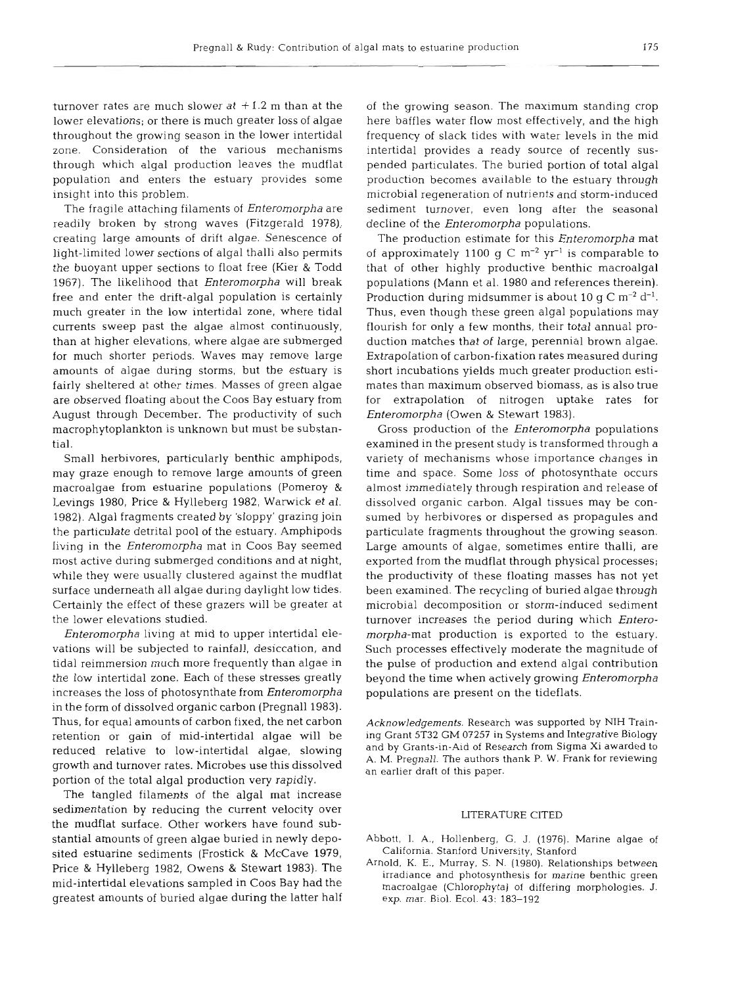turnover rates are much slower at  $+1.2$  m than at the lower elevations; or there is much greater loss of algae throughout the growing season in the lower intertidal zone. Consideration of the various mechanisms through which algal production leaves the mudflat population and enters the estuary provides some insight into this problem.

The fragile attaching filaments of *Enteromorpha* are readily broken by strong waves (Fitzgerald 1978), creating large amounts of drift algae. Senescence of light-limited lower sections of algal thalli also permits the buoyant upper sections to float free (Kier & Todd 1967). The likelihood that *Enteromorpha* will break free and enter the drift-algal population is certainly much greater in the low intertidal zone, where tidal currents sweep past the algae almost continuously, than at higher elevations, where algae are submerged for much shorter periods. Waves may remove large amounts of algae during storms, but the estuary is fairly sheltered at other times. Masses of green algae are observed floating about the Coos Bay estuary from August through December. The productivity of such macrophytoplankton is unknown but must be substantial.

Small herbivores, particularly benthic amphipods, may graze enough to remove large amounts of green macroalgae from estuarine populations (Pomeroy & Levings 1980, Price & Hylleberg 1982, Warwick et al. 1982). Algal fragments created by 'sloppy' grazing join the particulate detrital pool of the estuary. Amphipods living in the Enteromorpha mat in Coos Bay seemed most active during submerged conditions and at night, while they were usually clustered against the mudflat surface underneath all algae during daylight low tides. Certainly the effect of these grazers will be greater at the lower elevations studied.

Enteromorpha living at mid to upper intertidal elevations will be subjected to rainfall, desiccation, and tidal reimmersion much more frequently than algae in the low intertidal zone. Each of these stresses greatly increases the loss of photosynthate from Enteromorpha in the form of dissolved organic carbon (Pregnall 1983). Thus, for equal amounts of carbon fixed, the net carbon retention or gain of mid-intertidal algae will be reduced relative to low-intertidal algae, slowing growth and turnover rates. Microbes use this dissolved portion of the total algal production very rapidly.

The tangled filaments of the algal mat increase sedimentation by reducing the current velocity over the mudflat surface. Other workers have found substantial amounts of green algae buried in newly deposited estuarine sediments (Frostick & McCave 1979, Price & Hylleberg 1982, Owens & Stewart 1983). The mid-intertidal elevations sampled in Coos Bay had the greatest amounts of buried algae during the latter half of the growing season. The maximum standing crop here baffles water flow most effectively, and the high frequency of slack tides with water levels in the mid intertidal provides a ready source of recently suspended particulates. The buried portion of total algal production becomes available to the estuary through microbial regeneration of nutrients and storm-induced sediment turnover, even long after the seasonal decline of the *Enteromorpha* populations.

The production estimate for this *Enteromorpha* mat of approximately 1100 g C  $\rm m^{-2}$  yr<sup>-1</sup> is comparable to that of other highly productive benthic macroalgal populations (Mann et al. 1980 and references therein). Production during midsummer is about 10 g C  $\mathrm{m}^{-2}$  d<sup>-1</sup>. Thus, even though these green algal populations may flourish for only a few months, their total annual production matches that of large, perennial brown algae. Extrapolation of carbon-fixation rates measured during short incubations yields much greater production estimates than maximum observed biomass, as is also true for extrapolation of nitrogen uptake rates for Enteromorpha (Owen & Stewart 1983).

Gross production of the *Enteromorpha* populations examined in the present study is transformed through a variety of mechanisms whose importance changes in time and space. Some loss of photosynthate occurs almost immediately through respiration and release of dissolved organic carbon. Algal tissues may be consumed by herbivores or dispersed as propagules and particulate fragments throughout the growing season. Large amounts of algae, sometimes entire thalli, are exported from the mudflat through physical processes; the productivity of these floating masses has not yet been examined. The recycling of buried algae through microbial decomposition or storm-induced sediment turnover increases the period during which Enteromorpha-mat production is exported to the estuary. Such processes effectively moderate the magnitude of the pulse of production and extend algal contribution beyond the time when actively growing Enteromorpha populations are present on the tideflats.

*Acknowledgements.* Research was supported by NIH Training Grant 5T32 GM 07257 in Systems and Integrative Biology and by Grants-in-Aid of Research from Sigma Xi awarded to A. M. Pregnall. The authors thank P. W. Frank for reviewing an earlier draft of this paper.

#### LITERATURE CITED

- Abbott, I. A., Hollenberg, G. J. (1976). Marine algae of California. Stanford University, Stanford
- Arnold, K. E., Murray. S. N. (1980). Relationships between irradiance and photosynthesis for marine benthic green macroalgae (Chlorophyta) of differing morphologies. J. exp. mar. Biol. Ecol. **43:** 183-192